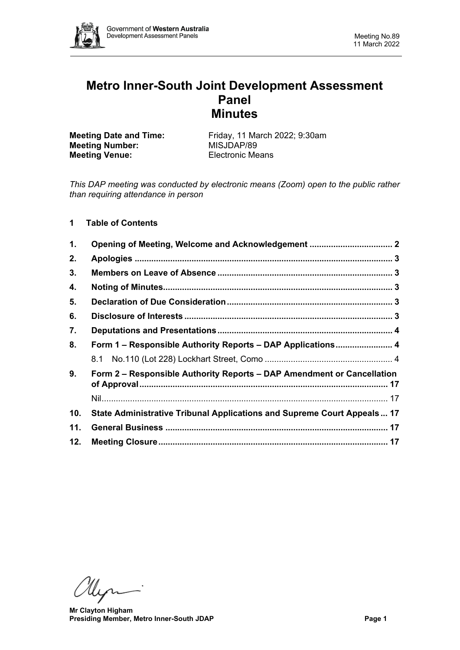

# **Metro Inner-South Joint Development Assessment Panel Minutes**

**Meeting Number:** MISJDAP/89<br> **Meeting Venue:** Electronic Means **Meeting Venue:** 

**Meeting Date and Time:** Friday, 11 March 2022; 9:30am<br> **Meeting Number:** MISJDAP/89

*This DAP meeting was conducted by electronic means (Zoom) open to the public rather than requiring attendance in person*

# **1 Table of Contents**

| 1.                                                                           |                                                                         |  |  |
|------------------------------------------------------------------------------|-------------------------------------------------------------------------|--|--|
| 2.                                                                           |                                                                         |  |  |
| 3.                                                                           |                                                                         |  |  |
| 4.                                                                           |                                                                         |  |  |
| 5.                                                                           |                                                                         |  |  |
| 6.                                                                           |                                                                         |  |  |
| 7.                                                                           |                                                                         |  |  |
| 8.                                                                           | Form 1 – Responsible Authority Reports – DAP Applications 4             |  |  |
|                                                                              |                                                                         |  |  |
| Form 2 – Responsible Authority Reports – DAP Amendment or Cancellation<br>9. |                                                                         |  |  |
|                                                                              |                                                                         |  |  |
| 10.                                                                          | State Administrative Tribunal Applications and Supreme Court Appeals 17 |  |  |
| 11.                                                                          |                                                                         |  |  |
| 12.                                                                          |                                                                         |  |  |

Um

 **Mr Clayton Higham Presiding Member, Metro Inner-South JDAP Page 1**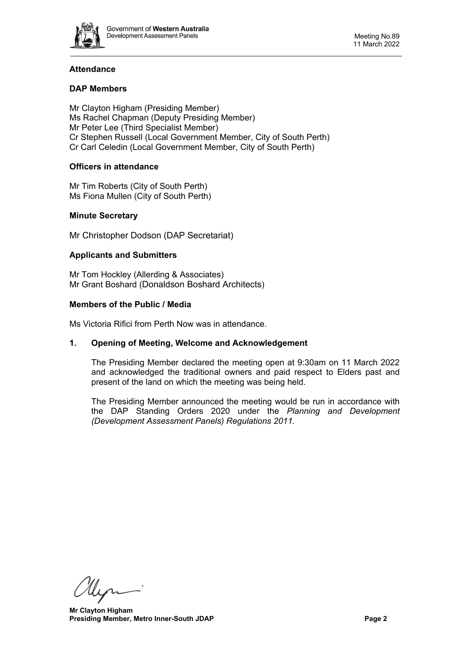

# **Attendance**

# **DAP Members**

Mr Clayton Higham (Presiding Member) Ms Rachel Chapman (Deputy Presiding Member) Mr Peter Lee (Third Specialist Member) Cr Stephen Russell (Local Government Member, City of South Perth) Cr Carl Celedin (Local Government Member, City of South Perth)

# **Officers in attendance**

Mr Tim Roberts (City of South Perth) Ms Fiona Mullen (City of South Perth)

# **Minute Secretary**

Mr Christopher Dodson (DAP Secretariat)

#### **Applicants and Submitters**

Mr Tom Hockley (Allerding & Associates) Mr Grant Boshard (Donaldson Boshard Architects)

#### **Members of the Public / Media**

<span id="page-1-0"></span>Ms Victoria Rifici from Perth Now was in attendance.

#### **1. Opening of Meeting, Welcome and Acknowledgement**

The Presiding Member declared the meeting open at 9:30am on 11 March 2022 and acknowledged the traditional owners and paid respect to Elders past and present of the land on which the meeting was being held.

The Presiding Member announced the meeting would be run in accordance with the DAP Standing Orders 2020 under the *Planning and Development (Development Assessment Panels) Regulations 2011.*

Un

 **Mr Clayton Higham Presiding Member, Metro Inner-South JDAP Page 2**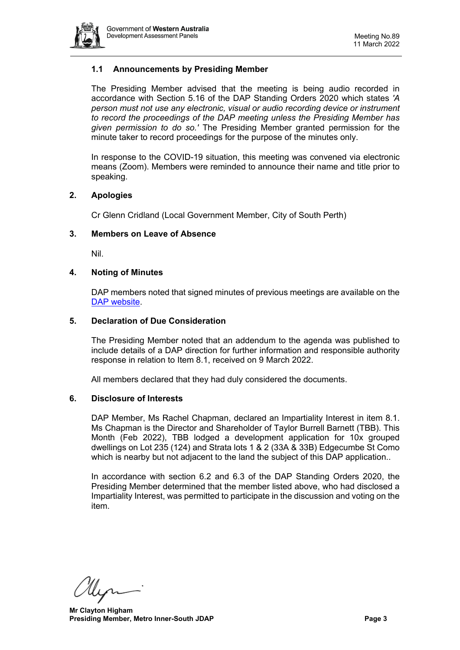

# **1.1 Announcements by Presiding Member**

The Presiding Member advised that the meeting is being audio recorded in accordance with Section 5.16 of the DAP Standing Orders 2020 which states *'A person must not use any electronic, visual or audio recording device or instrument to record the proceedings of the DAP meeting unless the Presiding Member has given permission to do so.'* The Presiding Member granted permission for the minute taker to record proceedings for the purpose of the minutes only.

In response to the COVID-19 situation, this meeting was convened via electronic means (Zoom). Members were reminded to announce their name and title prior to speaking.

#### <span id="page-2-0"></span>**2. Apologies**

Cr Glenn Cridland (Local Government Member, City of South Perth)

#### <span id="page-2-1"></span>**3. Members on Leave of Absence**

Nil.

#### <span id="page-2-2"></span>**4. Noting of Minutes**

DAP members noted that signed minutes of previous meetings are available on the [DAP website.](https://www.dplh.wa.gov.au/about/development-assessment-panels/daps-agendas-and-minutes)

#### <span id="page-2-3"></span>**5. Declaration of Due Consideration**

The Presiding Member noted that an addendum to the agenda was published to include details of a DAP direction for further information and responsible authority response in relation to Item 8.1, received on 9 March 2022.

All members declared that they had duly considered the documents.

#### <span id="page-2-4"></span>**6. Disclosure of Interests**

DAP Member, Ms Rachel Chapman, declared an Impartiality Interest in item 8.1. Ms Chapman is the Director and Shareholder of Taylor Burrell Barnett (TBB). This Month (Feb 2022), TBB lodged a development application for 10x grouped dwellings on Lot 235 (124) and Strata lots 1 & 2 (33A & 33B) Edgecumbe St Como which is nearby but not adjacent to the land the subject of this DAP application..

In accordance with section 6.2 and 6.3 of the DAP Standing Orders 2020, the Presiding Member determined that the member listed above, who had disclosed a Impartiality Interest, was permitted to participate in the discussion and voting on the item.

llin

 **Mr Clayton Higham Presiding Member, Metro Inner-South JDAP Page 3**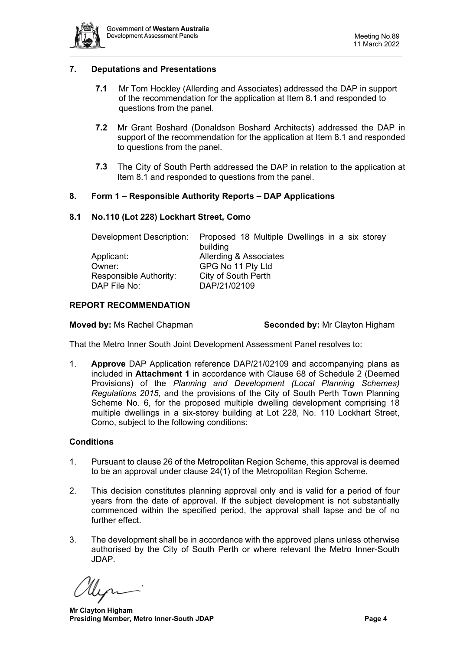

## <span id="page-3-0"></span>**7. Deputations and Presentations**

- **7.1** Mr Tom Hockley (Allerding and Associates) addressed the DAP in support of the recommendation for the application at Item 8.1 and responded to questions from the panel.
- **7.2** Mr Grant Boshard (Donaldson Boshard Architects) addressed the DAP in support of the recommendation for the application at Item 8.1 and responded to questions from the panel.
- **7.3** The City of South Perth addressed the DAP in relation to the application at Item 8.1 and responded to questions from the panel.

#### <span id="page-3-1"></span>**8. Form 1 – Responsible Authority Reports – DAP Applications**

#### <span id="page-3-2"></span>**8.1 No.110 (Lot 228) Lockhart Street, Como**

| Proposed 18 Multiple Dwellings in a six storey |
|------------------------------------------------|
| building                                       |
| Allerding & Associates                         |
| GPG No 11 Pty Ltd                              |
| City of South Perth                            |
| DAP/21/02109                                   |
|                                                |

#### **REPORT RECOMMENDATION**

**Moved by: Ms Rachel Chapman <b>Seconded by:** Mr Clayton Higham

That the Metro Inner South Joint Development Assessment Panel resolves to:

1. **Approve** DAP Application reference DAP/21/02109 and accompanying plans as included in **Attachment 1** in accordance with Clause 68 of Schedule 2 (Deemed Provisions) of the *Planning and Development (Local Planning Schemes) Regulations 2015*, and the provisions of the City of South Perth Town Planning Scheme No. 6, for the proposed multiple dwelling development comprising 18 multiple dwellings in a six-storey building at Lot 228, No. 110 Lockhart Street, Como, subject to the following conditions:

#### **Conditions**

- 1. Pursuant to clause 26 of the Metropolitan Region Scheme, this approval is deemed to be an approval under clause 24(1) of the Metropolitan Region Scheme.
- 2. This decision constitutes planning approval only and is valid for a period of four years from the date of approval. If the subject development is not substantially commenced within the specified period, the approval shall lapse and be of no further effect.
- 3. The development shall be in accordance with the approved plans unless otherwise authorised by the City of South Perth or where relevant the Metro Inner-South JDAP.

 **Mr Clayton Higham Presiding Member, Metro Inner-South JDAP Page 4**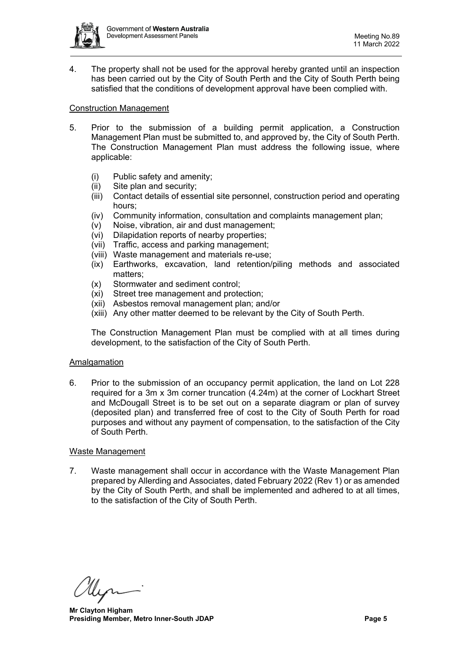

4. The property shall not be used for the approval hereby granted until an inspection has been carried out by the City of South Perth and the City of South Perth being satisfied that the conditions of development approval have been complied with.

#### Construction Management

- 5. Prior to the submission of a building permit application, a Construction Management Plan must be submitted to, and approved by, the City of South Perth. The Construction Management Plan must address the following issue, where applicable:
	- (i) Public safety and amenity;
	- (ii) Site plan and security;
	- (iii) Contact details of essential site personnel, construction period and operating hours;
	- (iv) Community information, consultation and complaints management plan;
	- (v) Noise, vibration, air and dust management;
	- (vi) Dilapidation reports of nearby properties;
	- (vii) Traffic, access and parking management;
	- (viii) Waste management and materials re-use;
	- (ix) Earthworks, excavation, land retention/piling methods and associated matters;
	- (x) Stormwater and sediment control;
	- (xi) Street tree management and protection;
	- (xii) Asbestos removal management plan; and/or
	- (xiii) Any other matter deemed to be relevant by the City of South Perth.

The Construction Management Plan must be complied with at all times during development, to the satisfaction of the City of South Perth.

#### Amalgamation

6. Prior to the submission of an occupancy permit application, the land on Lot 228 required for a 3m x 3m corner truncation (4.24m) at the corner of Lockhart Street and McDougall Street is to be set out on a separate diagram or plan of survey (deposited plan) and transferred free of cost to the City of South Perth for road purposes and without any payment of compensation, to the satisfaction of the City of South Perth.

#### Waste Management

7. Waste management shall occur in accordance with the Waste Management Plan prepared by Allerding and Associates, dated February 2022 (Rev 1) or as amended by the City of South Perth, and shall be implemented and adhered to at all times, to the satisfaction of the City of South Perth.

 **Mr Clayton Higham Presiding Member, Metro Inner-South JDAP Page 5**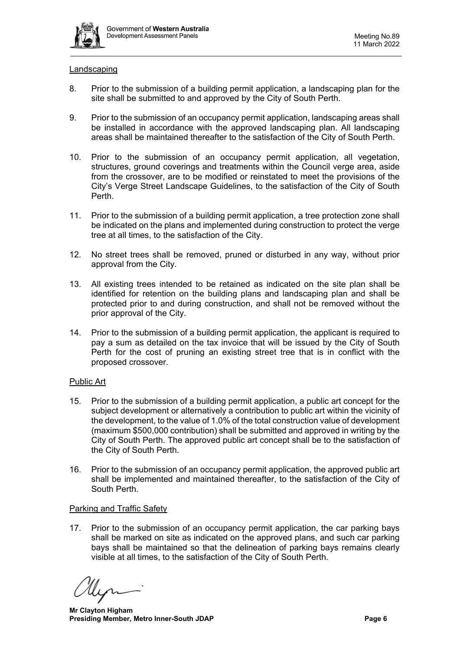

#### Landscaping

- 8. Prior to the submission of a building permit application, a landscaping plan for the site shall be submitted to and approved by the City of South Perth.
- 9. Prior to the submission of an occupancy permit application, landscaping areas shall be installed in accordance with the approved landscaping plan. All landscaping areas shall be maintained thereafter to the satisfaction of the City of South Perth.
- 10. Prior to the submission of an occupancy permit application, all vegetation, structures, ground coverings and treatments within the Council verge area, aside from the crossover, are to be modified or reinstated to meet the provisions of the City's Verge Street Landscape Guidelines, to the satisfaction of the City of South Perth.
- 11. Prior to the submission of a building permit application, a tree protection zone shall be indicated on the plans and implemented during construction to protect the verge tree at all times, to the satisfaction of the City.
- 12. No street trees shall be removed, pruned or disturbed in any way, without prior approval from the City.
- 13. All existing trees intended to be retained as indicated on the site plan shall be identified for retention on the building plans and landscaping plan and shall be protected prior to and during construction, and shall not be removed without the prior approval of the City.
- 14. Prior to the submission of a building permit application, the applicant is required to pay a sum as detailed on the tax invoice that will be issued by the City of South Perth for the cost of pruning an existing street tree that is in conflict with the proposed crossover.

#### Public Art

- 15. Prior to the submission of a building permit application, a public art concept for the subject development or alternatively a contribution to public art within the vicinity of the development, to the value of 1.0% of the total construction value of development (maximum \$500,000 contribution) shall be submitted and approved in writing by the City of South Perth. The approved public art concept shall be to the satisfaction of the City of South Perth.
- 16. Prior to the submission of an occupancy permit application, the approved public art shall be implemented and maintained thereafter, to the satisfaction of the City of South Perth.

# Parking and Traffic Safety

17. Prior to the submission of an occupancy permit application, the car parking bays shall be marked on site as indicated on the approved plans, and such car parking bays shall be maintained so that the delineation of parking bays remains clearly visible at all times, to the satisfaction of the City of South Perth.

 **Mr Clayton Higham Presiding Member, Metro Inner-South JDAP Page 6**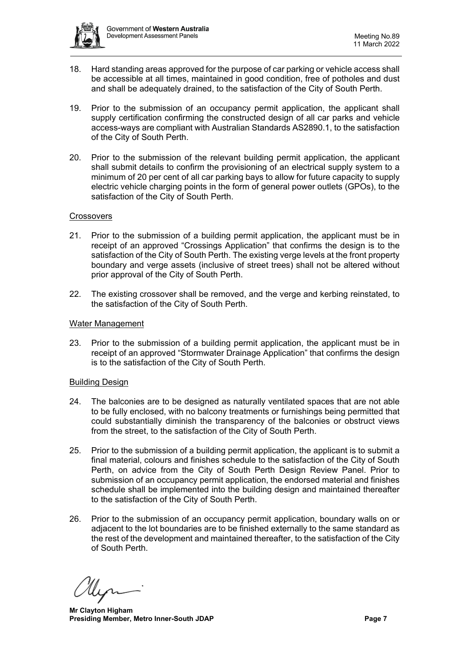

- 18. Hard standing areas approved for the purpose of car parking or vehicle access shall be accessible at all times, maintained in good condition, free of potholes and dust and shall be adequately drained, to the satisfaction of the City of South Perth.
- 19. Prior to the submission of an occupancy permit application, the applicant shall supply certification confirming the constructed design of all car parks and vehicle access-ways are compliant with Australian Standards AS2890.1, to the satisfaction of the City of South Perth.
- 20. Prior to the submission of the relevant building permit application, the applicant shall submit details to confirm the provisioning of an electrical supply system to a minimum of 20 per cent of all car parking bays to allow for future capacity to supply electric vehicle charging points in the form of general power outlets (GPOs), to the satisfaction of the City of South Perth.

#### **Crossovers**

- 21. Prior to the submission of a building permit application, the applicant must be in receipt of an approved "Crossings Application" that confirms the design is to the satisfaction of the City of South Perth. The existing verge levels at the front property boundary and verge assets (inclusive of street trees) shall not be altered without prior approval of the City of South Perth.
- 22. The existing crossover shall be removed, and the verge and kerbing reinstated, to the satisfaction of the City of South Perth.

#### Water Management

23. Prior to the submission of a building permit application, the applicant must be in receipt of an approved "Stormwater Drainage Application" that confirms the design is to the satisfaction of the City of South Perth.

#### Building Design

- 24. The balconies are to be designed as naturally ventilated spaces that are not able to be fully enclosed, with no balcony treatments or furnishings being permitted that could substantially diminish the transparency of the balconies or obstruct views from the street, to the satisfaction of the City of South Perth.
- 25. Prior to the submission of a building permit application, the applicant is to submit a final material, colours and finishes schedule to the satisfaction of the City of South Perth, on advice from the City of South Perth Design Review Panel. Prior to submission of an occupancy permit application, the endorsed material and finishes schedule shall be implemented into the building design and maintained thereafter to the satisfaction of the City of South Perth.
- 26. Prior to the submission of an occupancy permit application, boundary walls on or adjacent to the lot boundaries are to be finished externally to the same standard as the rest of the development and maintained thereafter, to the satisfaction of the City of South Perth.

 **Mr Clayton Higham Presiding Member, Metro Inner-South JDAP Page 7**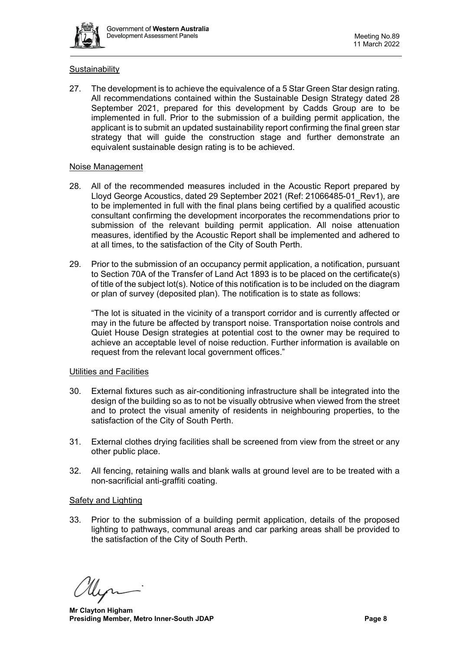

# **Sustainability**

27. The development is to achieve the equivalence of a 5 Star Green Star design rating. All recommendations contained within the Sustainable Design Strategy dated 28 September 2021, prepared for this development by Cadds Group are to be implemented in full. Prior to the submission of a building permit application, the applicant is to submit an updated sustainability report confirming the final green star strategy that will guide the construction stage and further demonstrate an equivalent sustainable design rating is to be achieved.

#### Noise Management

- 28. All of the recommended measures included in the Acoustic Report prepared by Lloyd George Acoustics, dated 29 September 2021 (Ref: 21066485-01\_Rev1), are to be implemented in full with the final plans being certified by a qualified acoustic consultant confirming the development incorporates the recommendations prior to submission of the relevant building permit application. All noise attenuation measures, identified by the Acoustic Report shall be implemented and adhered to at all times, to the satisfaction of the City of South Perth.
- 29. Prior to the submission of an occupancy permit application, a notification, pursuant to Section 70A of the Transfer of Land Act 1893 is to be placed on the certificate(s) of title of the subject lot(s). Notice of this notification is to be included on the diagram or plan of survey (deposited plan). The notification is to state as follows:

"The lot is situated in the vicinity of a transport corridor and is currently affected or may in the future be affected by transport noise. Transportation noise controls and Quiet House Design strategies at potential cost to the owner may be required to achieve an acceptable level of noise reduction. Further information is available on request from the relevant local government offices."

# Utilities and Facilities

- 30. External fixtures such as air-conditioning infrastructure shall be integrated into the design of the building so as to not be visually obtrusive when viewed from the street and to protect the visual amenity of residents in neighbouring properties, to the satisfaction of the City of South Perth.
- 31. External clothes drying facilities shall be screened from view from the street or any other public place.
- 32. All fencing, retaining walls and blank walls at ground level are to be treated with a non-sacrificial anti-graffiti coating.

# Safety and Lighting

33. Prior to the submission of a building permit application, details of the proposed lighting to pathways, communal areas and car parking areas shall be provided to the satisfaction of the City of South Perth.

 **Mr Clayton Higham Presiding Member, Metro Inner-South JDAP Page 8**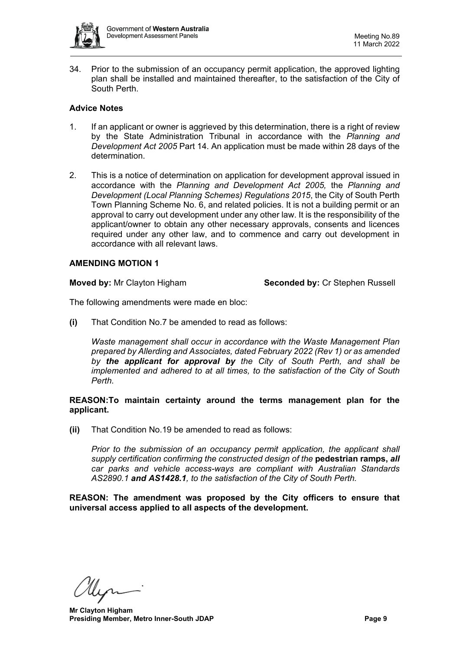

34. Prior to the submission of an occupancy permit application, the approved lighting plan shall be installed and maintained thereafter, to the satisfaction of the City of South Perth.

# **Advice Notes**

- 1. If an applicant or owner is aggrieved by this determination, there is a right of review by the State Administration Tribunal in accordance with the *Planning and Development Act 2005* Part 14. An application must be made within 28 days of the determination.
- 2. This is a notice of determination on application for development approval issued in accordance with the *Planning and Development Act 2005,* the *Planning and Development (Local Planning Schemes) Regulations 2015*, the City of South Perth Town Planning Scheme No. 6, and related policies. It is not a building permit or an approval to carry out development under any other law. It is the responsibility of the applicant/owner to obtain any other necessary approvals, consents and licences required under any other law, and to commence and carry out development in accordance with all relevant laws.

# **AMENDING MOTION 1**

**Moved by:** Mr Clayton Higham **Seconded by:** Cr Stephen Russell

The following amendments were made en bloc:

**(i)** That Condition No.7 be amended to read as follows:

*Waste management shall occur in accordance with the Waste Management Plan prepared by Allerding and Associates, dated February 2022 (Rev 1) or as amended by the applicant for approval by the City of South Perth, and shall be implemented and adhered to at all times, to the satisfaction of the City of South Perth.*

#### **REASON:To maintain certainty around the terms management plan for the applicant.**

**(ii)** That Condition No.19 be amended to read as follows:

*Prior to the submission of an occupancy permit application, the applicant shall supply certification confirming the constructed design of the* **pedestrian ramps,** *all car parks and vehicle access-ways are compliant with Australian Standards AS2890.1 and AS1428.1, to the satisfaction of the City of South Perth.*

**REASON: The amendment was proposed by the City officers to ensure that universal access applied to all aspects of the development.**

 **Mr Clayton Higham Presiding Member, Metro Inner-South JDAP Page 9**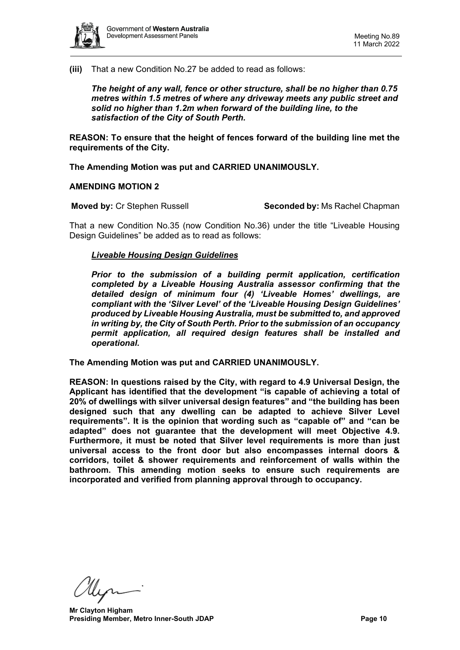

**(iii)** That a new Condition No.27 be added to read as follows:

*The height of any wall, fence or other structure, shall be no higher than 0.75 metres within 1.5 metres of where any driveway meets any public street and solid no higher than 1.2m when forward of the building line, to the satisfaction of the City of South Perth.*

**REASON: To ensure that the height of fences forward of the building line met the requirements of the City.**

**The Amending Motion was put and CARRIED UNANIMOUSLY.**

**AMENDING MOTION 2**

**Moved by:** Cr Stephen Russell **Seconded by:** Ms Rachel Chapman

That a new Condition No.35 (now Condition No.36) under the title "Liveable Housing Design Guidelines" be added as to read as follows:

#### *Liveable Housing Design Guidelines*

*Prior to the submission of a building permit application, certification completed by a Liveable Housing Australia assessor confirming that the detailed design of minimum four (4) 'Liveable Homes' dwellings, are compliant with the 'Silver Level' of the 'Liveable Housing Design Guidelines' produced by Liveable Housing Australia, must be submitted to, and approved in writing by, the City of South Perth. Prior to the submission of an occupancy permit application, all required design features shall be installed and operational.*

**The Amending Motion was put and CARRIED UNANIMOUSLY.**

**REASON: In questions raised by the City, with regard to 4.9 Universal Design, the Applicant has identified that the development "is capable of achieving a total of 20% of dwellings with silver universal design features" and "the building has been designed such that any dwelling can be adapted to achieve Silver Level requirements". It is the opinion that wording such as "capable of" and "can be adapted" does not guarantee that the development will meet Objective 4.9. Furthermore, it must be noted that Silver level requirements is more than just universal access to the front door but also encompasses internal doors & corridors, toilet & shower requirements and reinforcement of walls within the bathroom. This amending motion seeks to ensure such requirements are incorporated and verified from planning approval through to occupancy.**

 **Mr Clayton Higham Presiding Member, Metro Inner-South JDAP Page 10**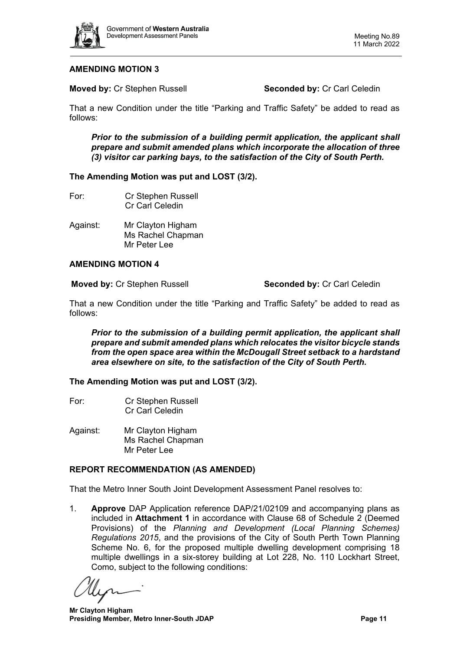

# **AMENDING MOTION 3**

**Moved by: Cr Stephen Russell <b>Seconded by: Cr Carl Celedin** 

That a new Condition under the title "Parking and Traffic Safety" be added to read as follows:

*Prior to the submission of a building permit application, the applicant shall prepare and submit amended plans which incorporate the allocation of three (3) visitor car parking bays, to the satisfaction of the City of South Perth.*

#### **The Amending Motion was put and LOST (3/2).**

- For: Cr Stephen Russell Cr Carl Celedin
- Against: Mr Clayton Higham Ms Rachel Chapman Mr Peter Lee

#### **AMENDING MOTION 4**

**Moved by:** Cr Stephen Russell **Seconded by:** Cr Carl Celedin

That a new Condition under the title "Parking and Traffic Safety" be added to read as follows:

*Prior to the submission of a building permit application, the applicant shall prepare and submit amended plans which relocates the visitor bicycle stands from the open space area within the McDougall Street setback to a hardstand area elsewhere on site, to the satisfaction of the City of South Perth.*

**The Amending Motion was put and LOST (3/2).**

- For: Cr Stephen Russell Cr Carl Celedin
- Against: Mr Clayton Higham Ms Rachel Chapman Mr Peter Lee

# **REPORT RECOMMENDATION (AS AMENDED)**

That the Metro Inner South Joint Development Assessment Panel resolves to:

1. **Approve** DAP Application reference DAP/21/02109 and accompanying plans as included in **Attachment 1** in accordance with Clause 68 of Schedule 2 (Deemed Provisions) of the *Planning and Development (Local Planning Schemes) Regulations 2015*, and the provisions of the City of South Perth Town Planning Scheme No. 6, for the proposed multiple dwelling development comprising 18 multiple dwellings in a six-storey building at Lot 228, No. 110 Lockhart Street, Como, subject to the following conditions:

 **Mr Clayton Higham Presiding Member, Metro Inner-South JDAP Page 11**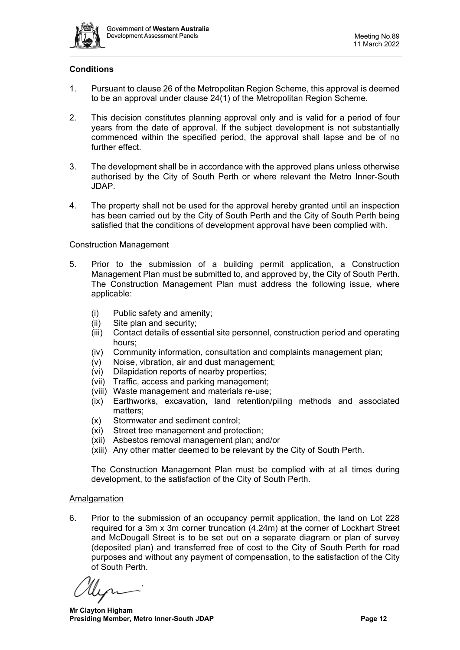

# **Conditions**

- 1. Pursuant to clause 26 of the Metropolitan Region Scheme, this approval is deemed to be an approval under clause 24(1) of the Metropolitan Region Scheme.
- 2. This decision constitutes planning approval only and is valid for a period of four years from the date of approval. If the subject development is not substantially commenced within the specified period, the approval shall lapse and be of no further effect.
- 3. The development shall be in accordance with the approved plans unless otherwise authorised by the City of South Perth or where relevant the Metro Inner-South JDAP.
- 4. The property shall not be used for the approval hereby granted until an inspection has been carried out by the City of South Perth and the City of South Perth being satisfied that the conditions of development approval have been complied with.

#### Construction Management

- 5. Prior to the submission of a building permit application, a Construction Management Plan must be submitted to, and approved by, the City of South Perth. The Construction Management Plan must address the following issue, where applicable:
	- (i) Public safety and amenity;
	- (ii) Site plan and security;
	- (iii) Contact details of essential site personnel, construction period and operating hours;
	- (iv) Community information, consultation and complaints management plan;
	- (v) Noise, vibration, air and dust management;
	- (vi) Dilapidation reports of nearby properties;
	- (vii) Traffic, access and parking management;
	- (viii) Waste management and materials re-use;
	- (ix) Earthworks, excavation, land retention/piling methods and associated matters;
	- (x) Stormwater and sediment control;
	- (xi) Street tree management and protection;
	- (xii) Asbestos removal management plan; and/or
	- (xiii) Any other matter deemed to be relevant by the City of South Perth.

The Construction Management Plan must be complied with at all times during development, to the satisfaction of the City of South Perth.

# **Amalgamation**

6. Prior to the submission of an occupancy permit application, the land on Lot 228 required for a 3m x 3m corner truncation (4.24m) at the corner of Lockhart Street and McDougall Street is to be set out on a separate diagram or plan of survey (deposited plan) and transferred free of cost to the City of South Perth for road purposes and without any payment of compensation, to the satisfaction of the City of South Perth.

 **Mr Clayton Higham Presiding Member, Metro Inner-South JDAP Page 12**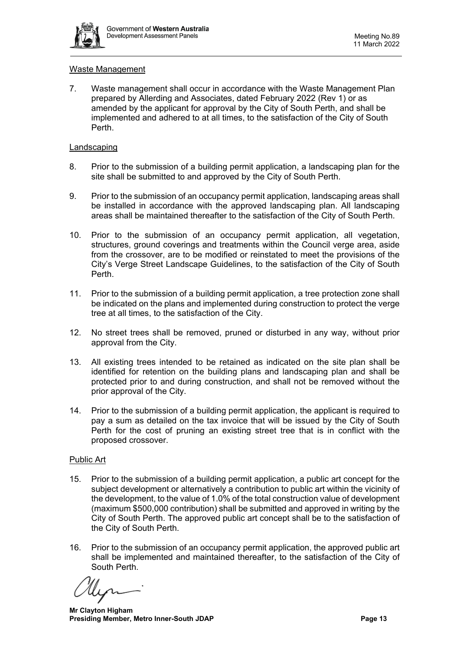

#### Waste Management

7. Waste management shall occur in accordance with the Waste Management Plan prepared by Allerding and Associates, dated February 2022 (Rev 1) or as amended by the applicant for approval by the City of South Perth, and shall be implemented and adhered to at all times, to the satisfaction of the City of South Perth.

#### **Landscaping**

- 8. Prior to the submission of a building permit application, a landscaping plan for the site shall be submitted to and approved by the City of South Perth.
- 9. Prior to the submission of an occupancy permit application, landscaping areas shall be installed in accordance with the approved landscaping plan. All landscaping areas shall be maintained thereafter to the satisfaction of the City of South Perth.
- 10. Prior to the submission of an occupancy permit application, all vegetation, structures, ground coverings and treatments within the Council verge area, aside from the crossover, are to be modified or reinstated to meet the provisions of the City's Verge Street Landscape Guidelines, to the satisfaction of the City of South Perth.
- 11. Prior to the submission of a building permit application, a tree protection zone shall be indicated on the plans and implemented during construction to protect the verge tree at all times, to the satisfaction of the City.
- 12. No street trees shall be removed, pruned or disturbed in any way, without prior approval from the City.
- 13. All existing trees intended to be retained as indicated on the site plan shall be identified for retention on the building plans and landscaping plan and shall be protected prior to and during construction, and shall not be removed without the prior approval of the City.
- 14. Prior to the submission of a building permit application, the applicant is required to pay a sum as detailed on the tax invoice that will be issued by the City of South Perth for the cost of pruning an existing street tree that is in conflict with the proposed crossover.

#### Public Art

- 15. Prior to the submission of a building permit application, a public art concept for the subject development or alternatively a contribution to public art within the vicinity of the development, to the value of 1.0% of the total construction value of development (maximum \$500,000 contribution) shall be submitted and approved in writing by the City of South Perth. The approved public art concept shall be to the satisfaction of the City of South Perth.
- 16. Prior to the submission of an occupancy permit application, the approved public art shall be implemented and maintained thereafter, to the satisfaction of the City of South Perth.

 **Mr Clayton Higham Presiding Member, Metro Inner-South JDAP Page 13**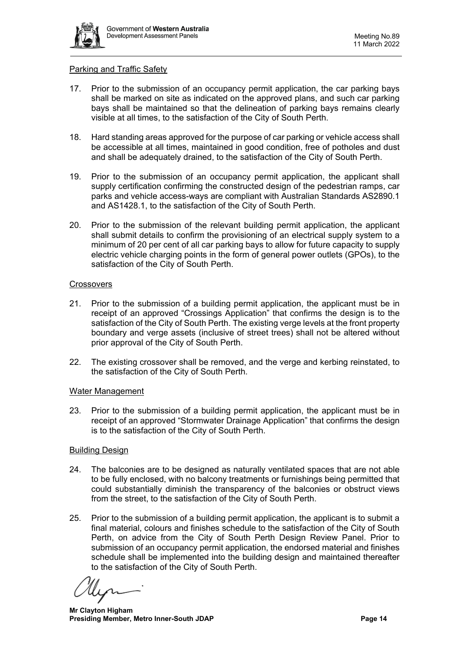

#### Parking and Traffic Safety

- 17. Prior to the submission of an occupancy permit application, the car parking bays shall be marked on site as indicated on the approved plans, and such car parking bays shall be maintained so that the delineation of parking bays remains clearly visible at all times, to the satisfaction of the City of South Perth.
- 18. Hard standing areas approved for the purpose of car parking or vehicle access shall be accessible at all times, maintained in good condition, free of potholes and dust and shall be adequately drained, to the satisfaction of the City of South Perth.
- 19. Prior to the submission of an occupancy permit application, the applicant shall supply certification confirming the constructed design of the pedestrian ramps, car parks and vehicle access-ways are compliant with Australian Standards AS2890.1 and AS1428.1, to the satisfaction of the City of South Perth.
- 20. Prior to the submission of the relevant building permit application, the applicant shall submit details to confirm the provisioning of an electrical supply system to a minimum of 20 per cent of all car parking bays to allow for future capacity to supply electric vehicle charging points in the form of general power outlets (GPOs), to the satisfaction of the City of South Perth.

#### **Crossovers**

- 21. Prior to the submission of a building permit application, the applicant must be in receipt of an approved "Crossings Application" that confirms the design is to the satisfaction of the City of South Perth. The existing verge levels at the front property boundary and verge assets (inclusive of street trees) shall not be altered without prior approval of the City of South Perth.
- 22. The existing crossover shall be removed, and the verge and kerbing reinstated, to the satisfaction of the City of South Perth.

# Water Management

23. Prior to the submission of a building permit application, the applicant must be in receipt of an approved "Stormwater Drainage Application" that confirms the design is to the satisfaction of the City of South Perth.

# Building Design

- 24. The balconies are to be designed as naturally ventilated spaces that are not able to be fully enclosed, with no balcony treatments or furnishings being permitted that could substantially diminish the transparency of the balconies or obstruct views from the street, to the satisfaction of the City of South Perth.
- 25. Prior to the submission of a building permit application, the applicant is to submit a final material, colours and finishes schedule to the satisfaction of the City of South Perth, on advice from the City of South Perth Design Review Panel. Prior to submission of an occupancy permit application, the endorsed material and finishes schedule shall be implemented into the building design and maintained thereafter to the satisfaction of the City of South Perth.

 **Mr Clayton Higham Presiding Member, Metro Inner-South JDAP Page 14**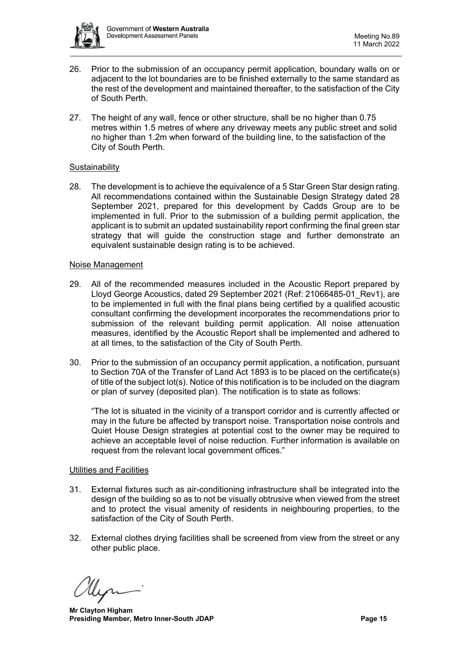

- 26. Prior to the submission of an occupancy permit application, boundary walls on or adjacent to the lot boundaries are to be finished externally to the same standard as the rest of the development and maintained thereafter, to the satisfaction of the City of South Perth.
- 27. The height of any wall, fence or other structure, shall be no higher than 0.75 metres within 1.5 metres of where any driveway meets any public street and solid no higher than 1.2m when forward of the building line, to the satisfaction of the City of South Perth.

## **Sustainability**

28. The development is to achieve the equivalence of a 5 Star Green Star design rating. All recommendations contained within the Sustainable Design Strategy dated 28 September 2021, prepared for this development by Cadds Group are to be implemented in full. Prior to the submission of a building permit application, the applicant is to submit an updated sustainability report confirming the final green star strategy that will guide the construction stage and further demonstrate an equivalent sustainable design rating is to be achieved.

#### Noise Management

- 29. All of the recommended measures included in the Acoustic Report prepared by Lloyd George Acoustics, dated 29 September 2021 (Ref: 21066485-01\_Rev1), are to be implemented in full with the final plans being certified by a qualified acoustic consultant confirming the development incorporates the recommendations prior to submission of the relevant building permit application. All noise attenuation measures, identified by the Acoustic Report shall be implemented and adhered to at all times, to the satisfaction of the City of South Perth.
- 30. Prior to the submission of an occupancy permit application, a notification, pursuant to Section 70A of the Transfer of Land Act 1893 is to be placed on the certificate(s) of title of the subject lot(s). Notice of this notification is to be included on the diagram or plan of survey (deposited plan). The notification is to state as follows:

"The lot is situated in the vicinity of a transport corridor and is currently affected or may in the future be affected by transport noise. Transportation noise controls and Quiet House Design strategies at potential cost to the owner may be required to achieve an acceptable level of noise reduction. Further information is available on request from the relevant local government offices."

# Utilities and Facilities

- 31. External fixtures such as air-conditioning infrastructure shall be integrated into the design of the building so as to not be visually obtrusive when viewed from the street and to protect the visual amenity of residents in neighbouring properties, to the satisfaction of the City of South Perth.
- 32. External clothes drying facilities shall be screened from view from the street or any other public place.

 **Mr Clayton Higham Presiding Member, Metro Inner-South JDAP Page 15**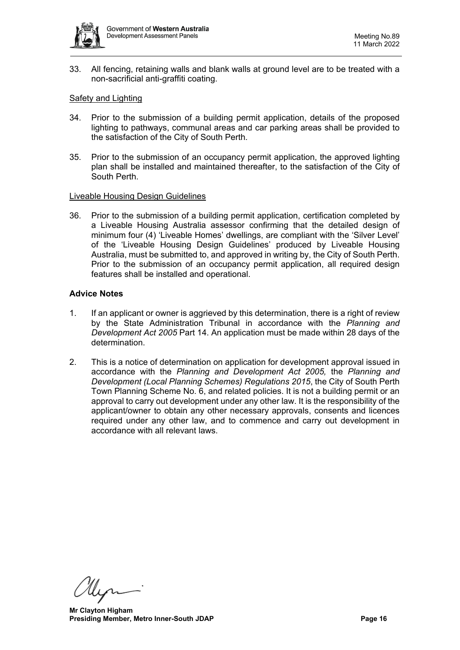

33. All fencing, retaining walls and blank walls at ground level are to be treated with a non-sacrificial anti-graffiti coating.

## Safety and Lighting

- 34. Prior to the submission of a building permit application, details of the proposed lighting to pathways, communal areas and car parking areas shall be provided to the satisfaction of the City of South Perth.
- 35. Prior to the submission of an occupancy permit application, the approved lighting plan shall be installed and maintained thereafter, to the satisfaction of the City of South Perth.

#### Liveable Housing Design Guidelines

36. Prior to the submission of a building permit application, certification completed by a Liveable Housing Australia assessor confirming that the detailed design of minimum four (4) 'Liveable Homes' dwellings, are compliant with the 'Silver Level' of the 'Liveable Housing Design Guidelines' produced by Liveable Housing Australia, must be submitted to, and approved in writing by, the City of South Perth. Prior to the submission of an occupancy permit application, all required design features shall be installed and operational.

#### **Advice Notes**

- 1. If an applicant or owner is aggrieved by this determination, there is a right of review by the State Administration Tribunal in accordance with the *Planning and Development Act 2005* Part 14. An application must be made within 28 days of the determination.
- 2. This is a notice of determination on application for development approval issued in accordance with the *Planning and Development Act 2005,* the *Planning and Development (Local Planning Schemes) Regulations 2015*, the City of South Perth Town Planning Scheme No. 6, and related policies. It is not a building permit or an approval to carry out development under any other law. It is the responsibility of the applicant/owner to obtain any other necessary approvals, consents and licences required under any other law, and to commence and carry out development in accordance with all relevant laws.

 **Mr Clayton Higham Presiding Member, Metro Inner-South JDAP Page 16**